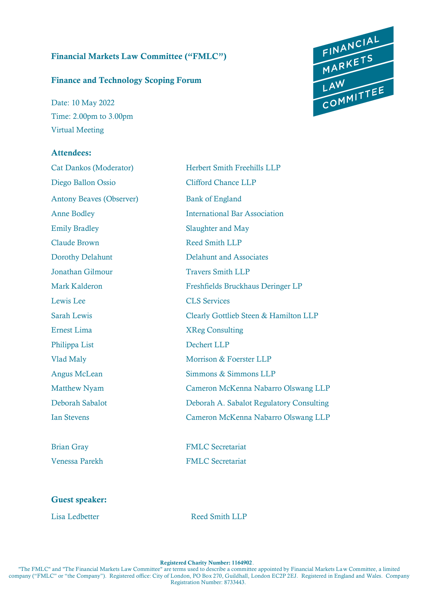### Financial Markets Law Committee ("FMLC")

#### Finance and Technology Scoping Forum

Date: 10 May 2022 Time: 2.00pm to 3.00pm Virtual Meeting

#### Attendees:

Cat Dankos (Moderator) Herbert Smith Freehills LLP Diego Ballon Ossio Clifford Chance LLP Antony Beaves (Observer) Bank of England Anne Bodley International Bar Association Emily Bradley Slaughter and May Claude Brown Reed Smith LLP Dorothy Delahunt Delahunt and Associates **Jonathan Gilmour Travers Smith LLP** Mark Kalderon Freshfields Bruckhaus Deringer LP Lewis Lee CLS Services Sarah Lewis Clearly Gottlieb Steen & Hamilton LLP Ernest Lima XReg Consulting Philippa List Dechert LLP Vlad Maly Morrison & Foerster LLP Angus McLean Simmons & Simmons LLP Matthew Nyam Cameron McKenna Nabarro Olswang LLP Deborah Sabalot Deborah A. Sabalot Regulatory Consulting Ian Stevens Cameron McKenna Nabarro Olswang LLP

Brian Gray FMLC Secretariat Venessa Parekh FMLC Secretariat

#### Guest speaker:

Lisa Ledbetter Reed Smith LLP



Registered Charity Number: 1164902.